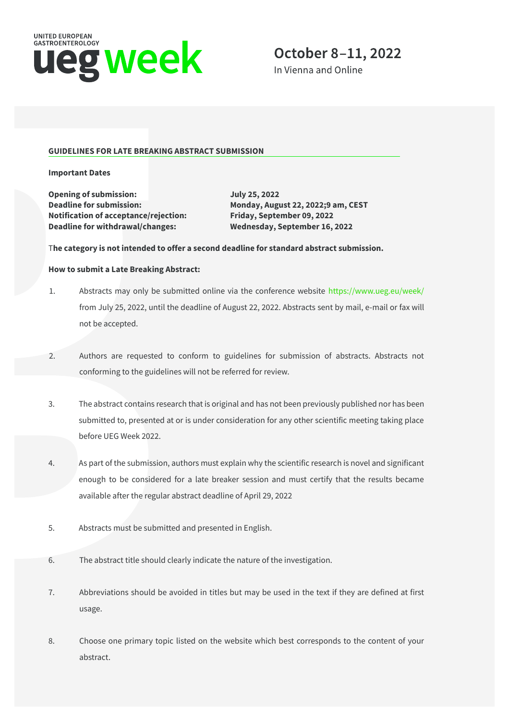

In Vienna and Online

### **GUIDELINES FOR LATE BREAKING ABSTRACT SUBMISSION**

**Important Dates**

**Opening of submission: July 25, 2022 Deadline for submission: Monday, August 22, 2022;9 am, CEST Notification of acceptance/rejection: Friday, September 09, 2022 Deadline for withdrawal/changes: Wednesday, September 16, 2022**

### T**he category is not intended to offer a second deadline for standard abstract submission.**

#### **How to submit a Late Breaking Abstract:**

- 1. Abstracts may only be submitted online via the conference website<https://www.ueg.eu/week/> from July 25, 2022, until the deadline of August 22, 2022. Abstracts sent by mail, e-mail or fax will not be accepted.
- 2. Authors are requested to conform to guidelines for submission of abstracts. Abstracts not conforming to the guidelines will not be referred for review.
- 3. The abstract contains research that is original and has not been previously published nor has been submitted to, presented at or is under consideration for any other scientific meeting taking place before UEG Week 2022.
- 4. As part of the submission, authors must explain why the scientific research is novel and significant enough to be considered for a late breaker session and must certify that the results became available after the regular abstract deadline of April 29, 2022
- 5. Abstracts must be submitted and presented in English.
- 6. The abstract title should clearly indicate the nature of the investigation.
- 7. Abbreviations should be avoided in titles but may be used in the text if they are defined at first usage.
- 8. Choose one primary topic listed on the website which best corresponds to the content of your abstract.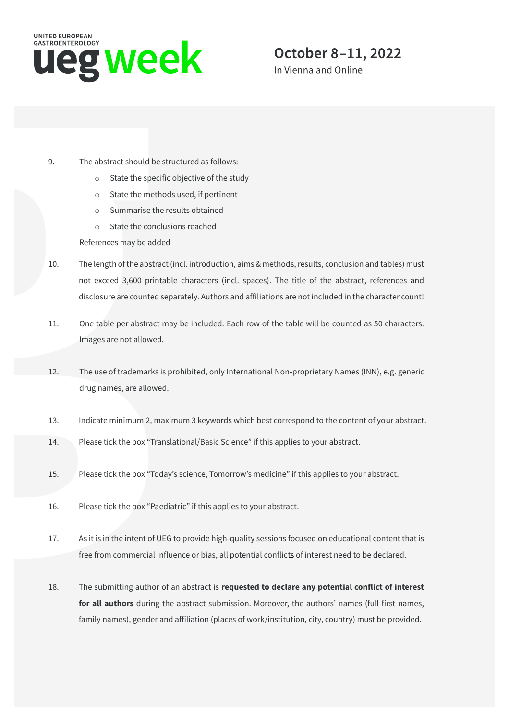

In Vienna and Online

- 9. The abstract should be structured as follows:
	- o State the specific objective of the study
	- o State the methods used, if pertinent
	- o Summarise the results obtained
	- o State the conclusions reached

References may be added

- 10. The length of the abstract (incl. introduction, aims & methods, results, conclusion and tables) must not exceed 3,600 printable characters (incl. spaces). The title of the abstract, references and disclosure are counted separately. Authors and affiliations are not included in the character count!
- 11. One table per abstract may be included. Each row of the table will be counted as 50 characters. Images are not allowed.
- 12. The use of trademarks is prohibited, only International Non-proprietary Names (INN), e.g. generic drug names, are allowed.
- 13. Indicate minimum 2, maximum 3 keywords which best correspond to the content of your abstract.
- 14. Please tick the box "Translational/Basic Science" if this applies to your abstract.
- 15. Please tick the box "Today's science, Tomorrow's medicine" if this applies to your abstract.
- 16. Please tick the box "Paediatric" if this applies to your abstract.
- 17. As it is in the intent of UEG to provide high-quality sessions focused on educational content that is free from commercial influence or bias, all potential conflicts of interest need to be declared.
- 18. The submitting author of an abstract is **requested to declare any potential conflict of interest for all authors** during the abstract submission. Moreover, the authors' names (full first names, family names), gender and affiliation (places of work/institution, city, country) must be provided.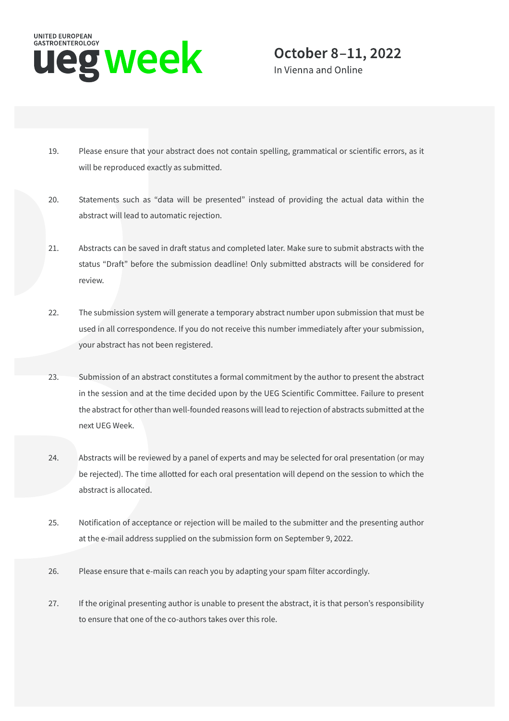

In Vienna and Online

- 19. Please ensure that your abstract does not contain spelling, grammatical or scientific errors, as it will be reproduced exactly as submitted.
- 20. Statements such as "data will be presented" instead of providing the actual data within the abstract will lead to automatic rejection.
- 21. Abstracts can be saved in draft status and completed later. Make sure to submit abstracts with the status "Draft" before the submission deadline! Only submitted abstracts will be considered for review.
- 22. The submission system will generate a temporary abstract number upon submission that must be used in all correspondence. If you do not receive this number immediately after your submission, your abstract has not been registered.
- 23. Submission of an abstract constitutes a formal commitment by the author to present the abstract in the session and at the time decided upon by the UEG Scientific Committee. Failure to present the abstract for other than well-founded reasons will lead to rejection of abstracts submitted at the next UEG Week.
- 24. Abstracts will be reviewed by a panel of experts and may be selected for oral presentation (or may be rejected). The time allotted for each oral presentation will depend on the session to which the abstract is allocated.
- 25. Notification of acceptance or rejection will be mailed to the submitter and the presenting author at the e-mail address supplied on the submission form on September 9, 2022.
- 26. Please ensure that e-mails can reach you by adapting your spam filter accordingly.
- 27. If the original presenting author is unable to present the abstract, it is that person's responsibility to ensure that one of the co-authors takes over this role.